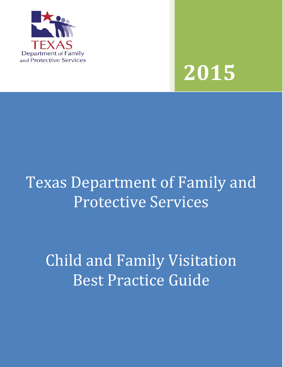



# Texas Department of Family and Protective Services

Child and Family Visitation Best Practice Guide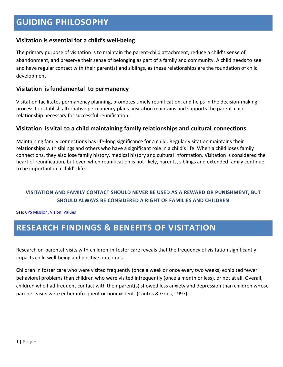#### **Visitation is essential for a child's well-being**

The primary purpose of visitation is to maintain the parent-child attachment, reduce a child's sense of abandonment, and preserve their sense of belonging as part of a family and community. A child needs to see and have regular contact with their parent(s) and siblings, as these relationships are the foundation of child development.

#### **Visitation isfundamental to permanency**

Visitation facilitates permanency planning, promotes timely reunification, and helps in the decision-making process to establish alternative permanency plans. Visitation maintains and supports the parent-child relationship necessary for successful reunification.

#### **Visitation is vital to a child maintaining family relationships and cultural connections**

Maintaining family connections has life-long significance for a child. Regular visitation maintains their relationships with siblings and others who have a significant role in a child's life. When a child loses family connections, they also lose family history, medical history and cultural information. Visitation is considered the heart of reunification, but even when reunification is not likely, parents, siblings and extended family continue to be important in a child's life.

#### **VISITATION AND FAMILY CONTACT SHOULD NEVER BE USED AS A REWARD OR PUNISHMENT, BUT SHOULD ALWAYS BE CONSIDERED A RIGHT OF FAMILIES AND CHILDREN**

See[: CPS Mission, Vision, Values](http://intranet.dfps.txnet.state.tx.us/CPS/default.asp) 

# **RESEARCH FINDINGS & BENEFITS OF VISITATION**

Research on parental visits with children in foster care reveals that the frequency of visitation significantly impacts child well-being and positive outcomes.

Children in foster care who were visited frequently (once a week or once every two weeks) exhibited fewer behavioral problems than children who were visited infrequently (once a month or less), or not at all. Overall, children who had frequent contact with their parent(s) showed less anxiety and depression than children whose parents' visits were either infrequent or nonexistent. (Cantos & Gries, 1997)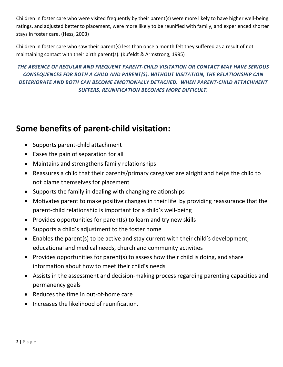Children in foster care who were visited frequently by their parent(s) were more likely to have higher well-being ratings, and adjusted better to placement, were more likely to be reunified with family, and experienced shorter stays in foster care. (Hess, 2003)

Children in foster care who saw their parent(s) less than once a month felt they suffered as a result of not maintaining contact with their birth parent(s). (Kufeldt & Armstrong, 1995)

### *THE ABSENCE OF REGULAR AND FREQUENT PARENT-CHILD VISITATION OR CONTACT MAY HAVE SERIOUS CONSEQUENCES FOR BOTH A CHILD AND PARENT(S). WITHOUT VISITATION, THE RELATIONSHIP CAN DETERIORATE AND BOTH CAN BECOME EMOTIONALLY DETACHED. WHEN PARENT-CHILD ATTACHMENT SUFFERS, REUNIFICATION BECOMES MORE DIFFICULT.*

# **Some benefits of parent-child visitation:**

- Supports parent-child attachment
- Eases the pain of separation for all
- Maintains and strengthens family relationships
- Reassures a child that their parents/primary caregiver are alright and helps the child to not blame themselves for placement
- Supports the family in dealing with changing relationships
- Motivates parent to make positive changes in their life by providing reassurance that the parent-child relationship is important for a child's well-being
- Provides opportunities for parent(s) to learn and try new skills
- Supports a child's adjustment to the foster home
- Enables the parent(s) to be active and stay current with their child's development, educational and medical needs, church and community activities
- Provides opportunities for parent(s) to assess how their child is doing, and share information about how to meet their child's needs
- Assists in the assessment and decision-making process regarding parenting capacities and permanency goals
- Reduces the time in out-of-home care
- **•** Increases the likelihood of reunification.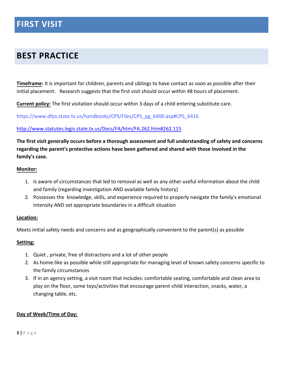# **BEST PRACTICE**

**Timeframe:** It is important for children, parents and siblings to have contact as soon as possible after their initial placement. Research suggests that the first visit should occur within 48 hours of placement.

**Current policy:** The first visitation should occur within 3 days of a child entering substitute care.

[https://www.dfps.state.tx.us/handbooks/CPS/Files/CPS\\_pg\\_6400.asp#CPS\\_6416](https://www.dfps.state.tx.us/handbooks/CPS/Files/CPS_pg_6400.asp#CPS_6416)

#### <http://www.statutes.legis.state.tx.us/Docs/FA/htm/FA.262.htm#262.115>

#### **The first visit generally occurs before a thorough assessment and full understanding of safety and concerns regarding the parent's protective actions have been gathered and shared with those involved in the family's case.**

#### **Monitor:**

- 1. Is aware of circumstances that led to removal as well as any other useful information about the child and family (regarding investigation AND available family history)
- 2. Possesses the knowledge, skills, and experience required to properly navigate the family's emotional intensity AND set appropriate boundaries in a difficult situation

#### **Location:**

Meets initial safety needs and concerns and as geographically convenient to the parent(s) as possible

#### **Setting:**

- 1. Quiet , private, free of distractions and a lot of other people
- 2. As home-like as possible while still appropriate for managing level of known safety concerns specific to the family circumstances
- 3. If in an agency setting, a visit room that includes: comfortable seating, comfortable and clean area to play on the floor, some toys/activities that encourage parent-child interaction, snacks, water, a changing table, etc.

#### **Day of Week/Time of Day:**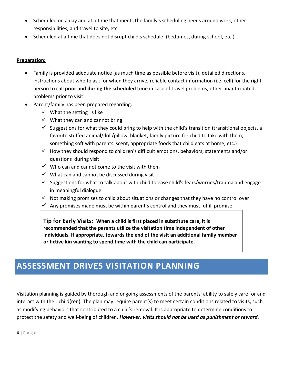- Scheduled on a day and at a time that meets the family's scheduling needs around work, other responsibilities, and travel to site, etc.
- Scheduled at a time that does not disrupt child's schedule: (bedtimes, during school, etc.)

#### **Preparation:**

- Family is provided adequate notice (as much time as possible before visit), detailed directions, instructions about who to ask for when they arrive, reliable contact information (i.e. cell) for the right person to call **prior and during the scheduled time** in case of travel problems, other unanticipated problems prior to visit
- Parent/family has been prepared regarding:
	- $\checkmark$  What the setting is like
	- $\checkmark$  What they can and cannot bring
	- $\checkmark$  Suggestions for what they could bring to help with the child's transition (transitional objects, a favorite stuffed animal/doll/pillow, blanket, family picture for child to take with them, something soft with parents' scent, appropriate foods that child eats at home, etc.)
	- $\checkmark$  How they should respond to children's difficult emotions, behaviors, statements and/or questions during visit
	- $\checkmark$  Who can and cannot come to the visit with them
	- $\checkmark$  What can and cannot be discussed during visit
	- $\checkmark$  Suggestions for what to talk about with child to ease child's fears/worries/trauma and engage in meaningful dialogue
	- $\checkmark$  Not making promises to child about situations or changes that they have no control over
	- $\checkmark$  Any promises made must be within parent's control and they must fulfill promise

**Tip for Early Visits: When a child is first placed in substitute care, it is recommended that the parents utilize the visitation time independent of other individuals. If appropriate, towards the end of the visit an additional family member or fictive kin wanting to spend time with the child can participate.**

# **ASSESSMENT DRIVES VISITATION PLANNING**

Visitation planning is guided by thorough and ongoing assessments of the parents' ability to safely care for and interact with their child(ren). The plan may require parent(s) to meet certain conditions related to visits, such as modifying behaviors that contributed to a child's removal. It is appropriate to determine conditions to protect the safety and well-being of children. *However, visits should not be used as punishment or reward.*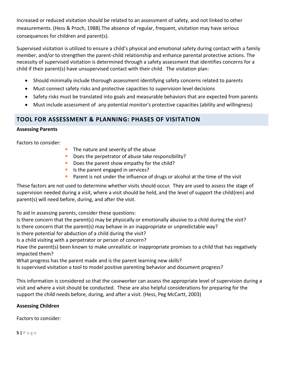Increased or reduced visitation should be related to an assessment of safety, and not linked to other measurements. (Hess & Proch, 1988).The absence of regular, frequent, visitation may have serious consequences for children and parent(s).

Supervised visitation is utilized to ensure a child's physical and emotional safety during contact with a family member, and/or to strengthen the parent-child relationship and enhance parental protective actions. The necessity of supervised visitation is determined through a safety assessment that identifies concerns for a child if their parent(s) have unsupervised contact with their child. The visitation plan:

- Should minimally include thorough assessment identifying safety concerns related to parents
- Must connect safety risks and protective capacities to supervision level decisions
- Safety risks must be translated into goals and measurable behaviors that are expected from parents
- Must include assessment of any potential monitor's protective capacities (ability and willingness)

#### **TOOL FOR ASSESSMENT & PLANNING: PHASES OF VISITATION**

#### **Assessing Parents**

Factors to consider:

- The nature and severity of the abuse
- **•** Does the perpetrator of abuse take responsibility?
- Does the parent show empathy for the child?
- Is the parent engaged in services?
- **•** Parent is not under the influence of drugs or alcohol at the time of the visit

These factors are not used to determine whether visits should occur. They are used to assess the stage of supervision needed during a visit, where a visit should be held, and the level of support the child(ren) and parent(s) will need before, during, and after the visit.

To aid in assessing parents, consider these questions:

Is there concern that the parent(s) may be physically or emotionally abusive to a child during the visit? Is there concern that the parent(s) may behave in an inappropriate or unpredictable way?

Is there potential for abduction of a child during the visit?

Is a child visiting with a perpetrator or person of concern?

Have the parent(s) been known to make unrealistic or inappropriate promises to a child that has negatively impacted them?

What progress has the parent made and is the parent learning new skills?

Is supervised visitation a tool to model positive parenting behavior and document progress?

This information is considered so that the caseworker can assess the appropriate level of supervision during a visit and where a visit should be conducted. These are also helpful considerations for preparing for the support the child needs before, during, and after a visit. (Hess, Peg McCartt, 2003)

#### **Assessing Children**

Factors to consider: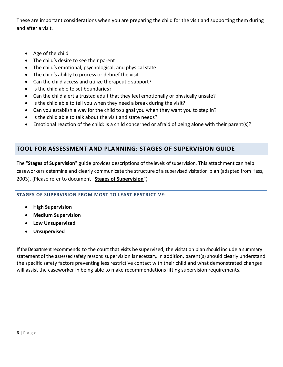These are important considerations when you are preparing the child for the visit and supporting them during and after a visit.

- Age of the child
- The child's desire to see their parent
- The child's emotional, psychological, and physical state
- The child's ability to process or debrief the visit
- Can the child access and utilize therapeutic support?
- Is the child able to set boundaries?
- Can the child alert a trusted adult that they feel emotionally or physically unsafe?
- Is the child able to tell you when they need a break during the visit?
- Can you establish a way for the child to signal you when they want you to step in?
- Is the child able to talk about the visit and state needs?
- Emotional reaction of the child: Is a child concerned or afraid of being alone with their parent(s)?

#### **TOOL FOR ASSESSMENT AND PLANNING: STAGES OF SUPERVISION GUIDE**

The "**Stages of Supervision**" guide provides descriptions of the levels ofsupervision. This attachment can help caseworkers determine and clearly communicate the structure of a supervised visitation plan (adapted from Hess, 2003). (Please refer to document "**Stages of Supervision**")

#### **STAGES OF SUPERVISION FROM MOST TO LEAST RESTRICTIVE:**

- **High Supervision**
- **Medium Supervision**
- **Low Unsupervised**
- **Unsupervised**

If the Department recommends to the court that visits be supervised, the visitation plan should include a summary statement of the assessed safety reasons supervision is necessary. In addition, parent(s) should clearly understand the specific safety factors preventing less restrictive contact with their child and what demonstrated changes will assist the caseworker in being able to make recommendations lifting supervision requirements.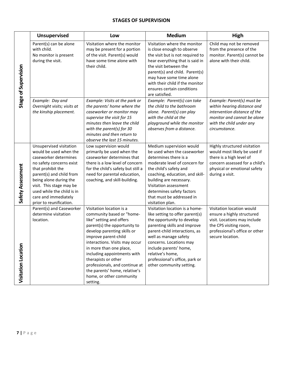#### **STAGES OF SUPERVISION**

|                            | <b>Unsupervised</b>                                                                                                                                                                                                                                                                            | Low                                                                                                                                                                                                                                                                                                                                                                                                    | <b>Medium</b>                                                                                                                                                                                                                                                                                                                    | High                                                                                                                                                                          |
|----------------------------|------------------------------------------------------------------------------------------------------------------------------------------------------------------------------------------------------------------------------------------------------------------------------------------------|--------------------------------------------------------------------------------------------------------------------------------------------------------------------------------------------------------------------------------------------------------------------------------------------------------------------------------------------------------------------------------------------------------|----------------------------------------------------------------------------------------------------------------------------------------------------------------------------------------------------------------------------------------------------------------------------------------------------------------------------------|-------------------------------------------------------------------------------------------------------------------------------------------------------------------------------|
| Stage of Supervision       | Parent(s) can be alone<br>with child.<br>No monitor is present<br>during the visit.                                                                                                                                                                                                            | Visitation where the monitor<br>may be present for a portion<br>of the visit. Parent(s) would<br>have some time alone with<br>their child.                                                                                                                                                                                                                                                             | Visitation where the monitor<br>is close enough to observe<br>the visit but is not required to<br>hear everything that is said in<br>the visit between the<br>parent(s) and child. Parent(s)<br>may have some time alone<br>with their child if the monitor<br>ensures certain conditions<br>are satisfied.                      | Child may not be removed<br>from the presence of the<br>monitor. Parent(s) cannot be<br>alone with their child.                                                               |
|                            | Example: Day and<br>Overnight visits; visits at<br>the kinship placement.                                                                                                                                                                                                                      | Example: Visits at the park or<br>the parents' home where the<br>caseworker or monitor may<br>supervise the visit for 15<br>minutes then leave the child<br>with the parent(s) for 30<br>minutes and then return to<br>observe the last 15 minutes.                                                                                                                                                    | Example: Parent(s) can take<br>the child to the bathroom<br>alone. Parent(s) can play<br>with the child at the<br>playground while the monitor<br>observes from a distance.                                                                                                                                                      | Example: Parent(s) must be<br>within hearing distance and<br>intervention distance of the<br>monitor and cannot be alone<br>with the child under any<br>circumstance.         |
| Safety Assessment          | Unsupervised visitation<br>would be used when the<br>caseworker determines<br>no safety concerns exist<br>that prohibit the<br>parent(s) and child from<br>being alone during the<br>visit. This stage may be<br>used while the child is in<br>care and immediately<br>prior to reunification. | Low supervision would<br>primarily be used when the<br>caseworker determines that<br>there is a low level of concern<br>for the child's safety but still a<br>need for parental education,<br>coaching, and skill-building.                                                                                                                                                                            | Medium supervision would<br>be used when the caseworker<br>determines there is a<br>moderate level of concern for<br>the child's safety and<br>coaching, education, and skill-<br>building are necessary.<br>Visitation assessment<br>determines safety factors<br>that must be addressed in<br>visitation plan.                 | Highly structured visitation<br>would most likely be used if<br>there is a high level of<br>concern assessed for a child's<br>physical or emotional safety<br>during a visit. |
| <b>Visitation Location</b> | Parent(s) and Caseworker<br>determine visitation<br>location.                                                                                                                                                                                                                                  | Visitation location is a<br>community based or "home-<br>like" setting and offers<br>parent(s) the opportunity to<br>develop parenting skills or<br>improve parent-child<br>interactions. Visits may occur<br>in more than one place,<br>including appointments with<br>therapists or other<br>professionals, and continue at<br>the parents' home, relative's<br>home, or other community<br>setting. | Visitation location is a home-<br>like setting to offer parent(s)<br>the opportunity to develop<br>parenting skills and improve<br>parent-child interactions, as<br>well as manage safety<br>concerns. Locations may<br>include parents' home,<br>relative's home,<br>professional's office, park or<br>other community setting. | Visitation location would<br>ensure a highly structured<br>visit. Locations may include<br>the CPS visiting room,<br>professional's office or other<br>secure location.       |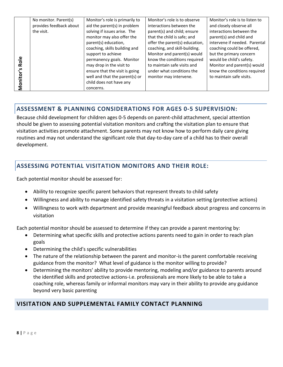| No monitor. Parent(s) | Monitor's role is primarily to | Monitor's role is to observe   | Monitor's role is to listen to |
|-----------------------|--------------------------------|--------------------------------|--------------------------------|
|                       |                                | interactions between the       | and closely observe all        |
| the visit.            | solving if issues arise. The   | parent(s) and child; ensure    | interactions between the       |
|                       | monitor may also offer the     | that the child is safe; and    | parent(s) and child and        |
|                       | parent(s) education,           | offer the parent(s) education, | intervene if needed. Parental  |
|                       | coaching, skills building and  | coaching, and skill-building.  | coaching could be offered,     |
|                       | support to achieve             | Monitor and parent(s) would    | but the primary concern        |
|                       | permanency goals. Monitor      | know the conditions required   | would be child's safety.       |
|                       | may drop in the visit to       | to maintain safe visits and    | Monitor and parent(s) would    |
|                       | ensure that the visit is going | under what conditions the      | know the conditions required   |
|                       | well and that the parent(s) or | monitor may intervene.         | to maintain safe visits.       |
|                       | child does not have any        |                                |                                |
|                       | concerns.                      |                                |                                |
|                       | provides feedback about        | aid the parent(s) in problem   |                                |

### **ASSESSMENT & PLANNING CONSIDERATIONS FOR AGES 0-5 SUPERVISION:**

**8 |** P a g e **Monitor's Role** Because child development for children ages 0-5 depends on parent-child attachment, special attention should be given to assessing potential visitation monitors and crafting the visitation plan to ensure that visitation activities promote attachment. Some parents may not know how to perform daily care giving routines and may not understand the significant role that day-to-day care of a child has to their overall development.

### **ASSESSING POTENTIAL VISITATION MONITORS AND THEIR ROLE:**

Each potential monitor should be assessed for:

- Ability to recognize specific parent behaviors that represent threats to child safety
- Willingness and ability to manage identified safety threats in a visitation setting (protective actions)
- Willingness to work with department and provide meaningful feedback about progress and concerns in visitation

Each potential monitor should be assessed to determine if they can provide a parent mentoring by:

- Determining what specific skills and protective actions parents need to gain in order to reach plan goals
- Determining the child's specific vulnerabilities
- The nature of the relationship between the parent and monitor-is the parent comfortable receiving guidance from the monitor? What level of guidance is the monitor willing to provide?
- Determining the monitors' ability to provide mentoring, modeling and/or guidance to parents around the identified skills and protective actions-i.e. professionals are more likely to be able to take a coaching role, whereas family or informal monitors may vary in their ability to provide any guidance beyond very basic parenting

### **VISITATION AND SUPPLEMENTAL FAMILY CONTACT PLANNING**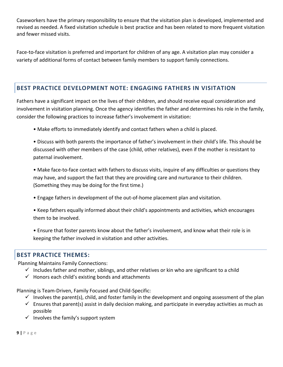Caseworkers have the primary responsibility to ensure that the visitation plan is developed, implemented and revised as needed. A fixed visitation schedule is best practice and has been related to more frequent visitation and fewer missed visits.

Face-to-face visitation is preferred and important for children of any age. A visitation plan may consider a variety of additional forms of contact between family members to support family connections.

#### **BEST PRACTICE DEVELOPMENT NOTE: ENGAGING FATHERS IN VISITATION**

Fathers have a significant impact on the lives of their children, and should receive equal consideration and involvement in visitation planning. Once the agency identifies the father and determines his role in the family, consider the following practices to increase father's involvement in visitation:

• Make efforts to immediately identify and contact fathers when a child is placed.

• Discuss with both parents the importance of father's involvement in their child's life. This should be discussed with other members of the case (child, other relatives), even if the mother is resistant to paternal involvement.

• Make face-to-face contact with fathers to discuss visits, inquire of any difficulties or questions they may have, and support the fact that they are providing care and nurturance to their children. (Something they may be doing for the first time.)

- Engage fathers in development of the out-of-home placement plan and visitation.
- Keep fathers equally informed about their child's appointments and activities, which encourages them to be involved.
- Ensure that foster parents know about the father's involvement, and know what their role is in keeping the father involved in visitation and other activities.

#### **BEST PRACTICE THEMES:**

Planning Maintains Family Connections:

- $\checkmark$  Includes father and mother, siblings, and other relatives or kin who are significant to a child
- $\checkmark$  Honors each child's existing bonds and attachments

Planning is Team-Driven, Family Focused and Child-Specific:

- $\checkmark$  Involves the parent(s), child, and foster family in the development and ongoing assessment of the plan
- $\checkmark$  Ensures that parent(s) assist in daily decision making, and participate in everyday activities as much as possible
- $\checkmark$  Involves the family's support system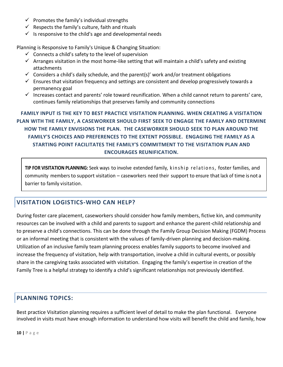- $\checkmark$  Promotes the family's individual strengths
- $\checkmark$  Respects the family's culture, faith and rituals
- $\checkmark$  is responsive to the child's age and developmental needs

Planning is Responsive to Family's Unique & Changing Situation:

- $\checkmark$  Connects a child's safety to the level of supervision
- $\checkmark$  Arranges visitation in the most home-like setting that will maintain a child's safety and existing attachments
- $\checkmark$  Considers a child's daily schedule, and the parent(s)' work and/or treatment obligations
- $\checkmark$  Ensures that visitation frequency and settings are consistent and develop progressively towards a permanency goal
- Increases contact and parents' role toward reunification. When a child cannot return to parents' care, continues family relationships that preserves family and community connections

**FAMILY INPUT IS THE KEY TO BEST PRACTICE VISITATION PLANNING. WHEN CREATING A VISITATION PLAN WITH THE FAMILY, A CASEWORKER SHOULD FIRST SEEK TO ENGAGE THE FAMILY AND DETERMINE HOW THE FAMILY ENVISIONS THE PLAN. THE CASEWORKER SHOULD SEEK TO PLAN AROUND THE FAMILY'S CHOICES AND PREFERENCES TO THE EXTENT POSSIBLE. ENGAGING THE FAMILY AS A STARTING POINT FACILITATES THE FAMILY'S COMMITMENT TO THE VISITATION PLAN AND ENCOURAGES REUNIFICATION.**

TIP FOR VISITATION PLANNING: Seek ways to involve extended family, kinship relations, foster families, and community members to support visitation – caseworkers need their support to ensure that lack of time isnot a barrier to family visitation.

#### **VISITATION LOGISTICS-WHO CAN HELP?**

During foster care placement, caseworkers should consider how family members, fictive kin, and community resources can be involved with a child and parents to support and enhance the parent-child relationship and to preserve a child's connections. This can be done through the Family Group Decision Making (FGDM) Process or an informal meeting that is consistent with the values of family-driven planning and decision-making. Utilization of an inclusive family team planning process enables family supports to become involved and increase the frequency of visitation, help with transportation, involve a child in cultural events, or possibly share in the caregiving tasks associated with visitation. Engaging the family's expertise in creation of the Family Tree is a helpful strategy to identify a child's significant relationships not previously identified.

### **PLANNING TOPICS:**

Best practice Visitation planning requires a sufficient level of detail to make the plan functional. Everyone involved in visits must have enough information to understand how visits will benefit the child and family, how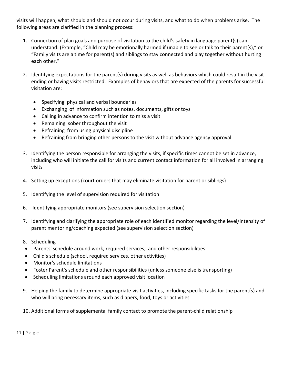visits will happen, what should and should not occur during visits, and what to do when problems arise. The following areas are clarified in the planning process:

- 1. Connection of plan goals and purpose of visitation to the child's safety in language parent(s) can understand. (Example, "Child may be emotionally harmed if unable to see or talk to their parent(s)," or "Family visits are a time for parent(s) and siblings to stay connected and play together without hurting each other."
- 2. Identifying expectations for the parent(s) during visits as well as behaviors which could result in the visit ending or having visits restricted. Examples of behaviors that are expected of the parents for successful visitation are:
	- Specifying physical and verbal boundaries
	- Exchanging of information such as notes, documents, gifts or toys
	- Calling in advance to confirm intention to miss a visit
	- Remaining sober throughout the visit
	- Refraining from using physical discipline
	- Refraining from bringing other persons to the visit without advance agency approval
- 3. Identifying the person responsible for arranging the visits, if specific times cannot be set in advance, including who will initiate the call for visits and current contact information for all involved in arranging visits
- 4. Setting up exceptions (court orders that may eliminate visitation for parent or siblings)
- 5. Identifying the level of supervision required for visitation
- 6. Identifying appropriate monitors (see supervision selection section)
- 7. Identifying and clarifying the appropriate role of each identified monitor regarding the level/intensity of parent mentoring/coaching expected (see supervision selection section)
- 8. Scheduling
- Parents' schedule around work, required services, and other responsibilities
- Child's schedule (school, required services, other activities)
- Monitor's schedule limitations
- Foster Parent's schedule and other responsibilities (unless someone else is transporting)
- Scheduling limitations around each approved visit location
- 9. Helping the family to determine appropriate visit activities, including specific tasks for the parent(s) and who will bring necessary items, such as diapers, food, toys or activities
- 10. Additional forms of supplemental family contact to promote the parent-child relationship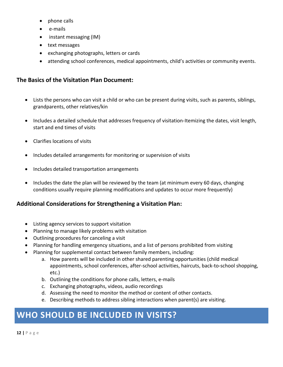- phone calls
- e-mails
- instant messaging (IM)
- text messages
- exchanging photographs, letters or cards
- attending school conferences, medical appointments, child's activities or community events.

### **The Basics of the Visitation Plan Document:**

- Lists the persons who can visit a child or who can be present during visits, such as parents, siblings, grandparents, other relatives/kin
- Includes a detailed schedule that addresses frequency of visitation-Itemizing the dates, visit length, start and end times of visits
- Clarifies locations of visits
- Includes detailed arrangements for monitoring or supervision of visits
- Includes detailed transportation arrangements
- Includes the date the plan will be reviewed by the team (at minimum every 60 days, changing conditions usually require planning modifications and updates to occur more frequently)

#### **Additional Considerations for Strengthening a Visitation Plan:**

- Listing agency services to support visitation
- Planning to manage likely problems with visitation
- Outlining procedures for canceling a visit
- Planning for handling emergency situations, and a list of persons prohibited from visiting
- Planning for supplemental contact between family members, including:
	- a. How parents will be included in other shared parenting opportunities (child medical appointments, school conferences, after-school activities, haircuts, back-to-school shopping, etc.)
	- b. Outlining the conditions for phone calls, letters, e-mails
	- c. Exchanging photographs, videos, audio recordings
	- d. Assessing the need to monitor the method or content of other contacts.
	- e. Describing methods to address sibling interactions when parent(s) are visiting.

# **WHO SHOULD BE INCLUDED IN VISITS?**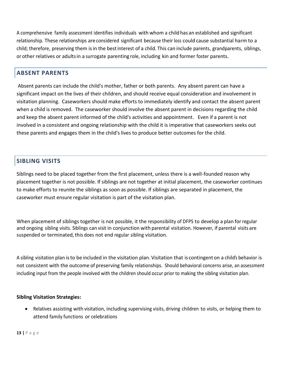A comprehensive family assessment identifies individuals with whom a child has an established and significant relationship. These relationships are considered significant because their loss could cause substantial harm to a child; therefore, preserving them isin the bestinterest of a child. This can include parents, grandparents, siblings, or other relatives or adultsin a surrogate parenting role, including kin and former foster parents.

#### **ABSENT PARENTS**

Absent parents can include the child's mother, father or both parents. Any absent parent can have a significant impact on the lives of their children, and should receive equal consideration and involvement in visitation planning. Caseworkers should make efforts to immediately identify and contact the absent parent when a child is removed. The caseworker should involve the absent parent in decisions regarding the child and keep the absent parent informed of the child's activities and appointment. Even if a parent is not involved in a consistent and ongoing relationship with the child it is imperative that caseworkers seeks out these parents and engages them in the child's lives to produce better outcomes for the child.

### **SIBLING VISITS**

Siblings need to be placed together from the first placement, unless there is a well-founded reason why placement together is not possible. If siblings are not together at initial placement, the caseworker continues to make efforts to reunite the siblings as soon as possible. If siblings are separated in placement, the caseworker must ensure regular visitation is part of the visitation plan.

When placement of siblings together is not possible, it the responsibility of DFPS to develop a plan forregular and ongoing sibling visits. Siblings can visit in conjunction with parental visitation. However, if parental visits are suspended or terminated, this does not end regular sibling visitation.

A sibling visitation plan isto be included in the visitation plan. Visitation that is contingent on a child's behavior is not consistent with the outcome of preserving family relationships. Should behavioral concerns arise, an assessment including input from the people involved with the children should occur prior to making the sibling visitation plan.

#### **Sibling Visitation Strategies:**

 Relatives assisting with visitation, including supervising visits, driving children to visits, or helping them to attend family functions or celebrations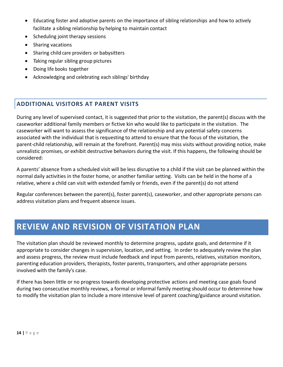- Educating foster and adoptive parents on the importance of sibling relationships and how to actively facilitate a sibling relationship by helping to maintain contact
- Scheduling joint therapy sessions
- Sharing vacations
- Sharing child care providers or babysitters
- Taking regular sibling group pictures
- Doing life books together
- Acknowledging and celebrating each siblings' birthday

### **ADDITIONAL VISITORS AT PARENT VISITS**

During any level of supervised contact, it is suggested that prior to the visitation, the parent(s) discuss with the caseworker additional family members or fictive kin who would like to participate in the visitation. The caseworker will want to assess the significance of the relationship and any potential safety concerns associated with the individual that is requesting to attend to ensure that the focus of the visitation, the parent-child relationship, will remain at the forefront. Parent(s) may miss visits without providing notice, make unrealistic promises, or exhibit destructive behaviors during the visit. If this happens, the following should be considered:

A parents' absence from a scheduled visit will be less disruptive to a child if the visit can be planned within the normal daily activities in the foster home, or another familiar setting. Visits can be held in the home of a relative, where a child can visit with extended family or friends, even if the parent(s) do not attend

Regular conferences between the parent(s), foster parent(s), caseworker, and other appropriate persons can address visitation plans and frequent absence issues.

## **REVIEW AND REVISION OF VISITATION PLAN**

The visitation plan should be reviewed monthly to determine progress, update goals, and determine if it appropriate to consider changes in supervision, location, and setting. In order to adequately review the plan and assess progress, the review must include feedback and input from parents, relatives, visitation monitors, parenting education providers, therapists, foster parents, transporters, and other appropriate persons involved with the family's case.

If there has been little or no progress towards developing protective actions and meeting case goals found during two consecutive monthly reviews, a formal or informal family meeting should occur to determine how to modify the visitation plan to include a more intensive level of parent coaching/guidance around visitation.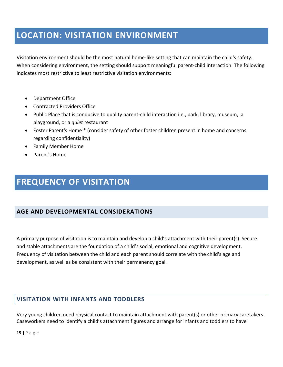# **LOCATION: VISITATION ENVIRONMENT**

Visitation environment should be the most natural home-like setting that can maintain the child's safety. When considering environment, the setting should support meaningful parent-child interaction. The following indicates most restrictive to least restrictive visitation environments:

- Department Office
- Contracted Providers Office
- Public Place that is conducive to quality parent-child interaction i.e., park, library, museum, a playground, or a *quiet* restaurant
- Foster Parent's Home \* (consider safety of other foster children present in home and concerns regarding confidentiality)
- Family Member Home
- Parent's Home

# **FREQUENCY OF VISITATION**

#### **AGE AND DEVELOPMENTAL CONSIDERATIONS**

A primary purpose of visitation is to maintain and develop a child's attachment with their parent(s). Secure and stable attachments are the foundation of a child's social, emotional and cognitive development. Frequency of visitation between the child and each parent should correlate with the child's age and development, as well as be consistent with their permanency goal.

### **VISITATION WITH INFANTS AND TODDLERS**

Very young children need physical contact to maintain attachment with parent(s) or other primary caretakers. Caseworkers need to identify a child's attachment figures and arrange for infants and toddlers to have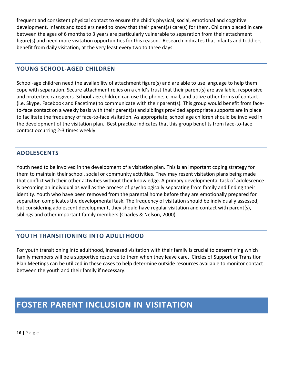frequent and consistent physical contact to ensure the child's physical, social, emotional and cognitive development. Infants and toddlers need to know that their parent(s) care(s) for them. Children placed in care between the ages of 6 months to 3 years are particularly vulnerable to separation from their attachment figure(s) and need more visitation opportunities for this reason. Research indicates that infants and toddlers benefit from daily visitation, at the very least every two to three days.

#### **YOUNG SCHOOL-AGED CHILDREN**

School-age children need the availability of attachment figure(s) and are able to use language to help them cope with separation. Secure attachment relies on a child's trust that their parent(s) are available, responsive and protective caregivers. School-age children can use the phone, e-mail, and utilize other forms of contact (i.e. Skype, Facebook and Facetime) to communicate with their parent(s). This group would benefit from faceto-face contact on a weekly basis with their parent(s) and siblings provided appropriate supports are in place to facilitate the frequency of face-to-face visitation. As appropriate, school age children should be involved in the development of the visitation plan. Best practice indicates that this group benefits from face-to-face contact occurring 2-3 times weekly.

### **ADOLESCENTS**

Youth need to be involved in the development of a visitation plan. This is an important coping strategy for them to maintain their school, social or community activities. They may resent visitation plans being made that conflict with their other activities without their knowledge. A primary developmental task of adolescence is becoming an individual as well as the process of psychologically separating from family and finding their identity. Youth who have been removed from the parental home before they are emotionally prepared for separation complicates the developmental task. The frequency of visitation should be individually assessed, but considering adolescent development, they should have regular visitation and contact with parent(s), siblings and other important family members (Charles & Nelson, 2000).

### **YOUTH TRANSITIONING INTO ADULTHOOD**

For youth transitioning into adulthood, increased visitation with their family is crucial to determining which family members will be a supportive resource to them when they leave care. Circles of Support or Transition Plan Meetings can be utilized in these cases to help determine outside resources available to monitor contact between the youth and their family if necessary.

# **FOSTER PARENT INCLUSION IN VISITATION**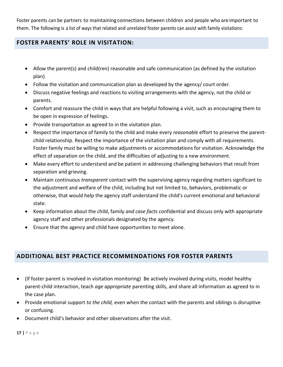Foster parents can be partners to maintaining connections between children and people who are important to them. The following is a list of ways that related and unrelated foster parents can assist with family visitations:

#### **FOSTER PARENTS' ROLE IN VISITATION:**

- Allow the parent(s) and child(ren) reasonable and safe communication (as defined by the visitation plan)
- Follow the visitation and communication plan as developed by the agency/ court order.
- Discuss negative feelings and reactions to visiting arrangements with the agency, not the child or parents.
- Comfort and reassure the child in ways that are helpful following a visit, such as encouraging them to be open in expression of feelings.
- Provide transportation as agreed to in the visitation plan.
- Respect the importance of family to the child and make every *reasonable* effort to preserve the parentchild relationship. Respect the importance of the visitation plan and comply with all requirements. Foster family must be willing to make adjustments or accommodations for visitation. Acknowledge the effect of separation on the child, and the difficulties of adjusting to a new environment.
- Make every effort to understand and be patient in addressing challenging behaviors that result from separation and grieving.
- Maintain continuous *transparent* contact with the supervising agency regarding matters significant to the adjustment and welfare of the child, including but not limited to, behaviors, problematic or otherwise, that would help the agency staff understand the child's current emotional and behavioral state.
- Keep information about the child, family *and case facts* confidential and discuss only with appropriate agency staff and other professionals designated by the agency.
- Ensure that the agency and child have opportunities to meet alone.

#### **ADDITIONAL BEST PRACTICE RECOMMENDATIONS FOR FOSTER PARENTS**

- (If foster parent is involved in visitation monitoring) Be actively involved during visits, model healthy parent-child interaction, teach *age appropriate* parenting skills, and share all information as agreed to in the case plan.
- Provide emotional support *to the child,* even when the contact with the parents and siblings is disruptive or confusing.
- Document child's behavior and other observations after the visit.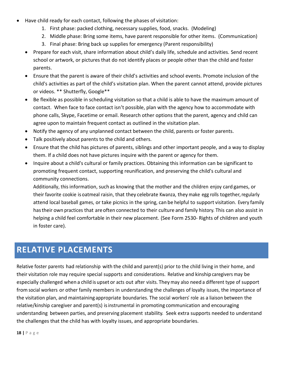- Have child ready for each contact, following the phases of visitation:
	- 1. First phase: packed clothing, necessary supplies, food, snacks. (Modeling)
	- 2. Middle phase: Bring some items, have parent responsible for other items. (Communication)
	- 3. Final phase: Bring back up supplies for emergency (Parent responsibility)
	- Prepare for each visit, share information about child's daily life, schedule and activities. Send recent school or artwork, or pictures that do not identify places or people other than the child and foster parents.
	- Ensure that the parent is aware of their child's activities and school events. Promote inclusion of the child's activities as part of the child's visitation plan. When the parent cannot attend, provide pictures or videos. \*\* Shutterfly, Google\*\*
	- Be flexible as possible in scheduling visitation so that a child is able to have the maximum amount of contact. When face to face contact isn't possible, plan with the agency how to accommodate with phone calls, Skype, Facetime or email. Research other options that the parent, agency and child can agree upon to maintain frequent contact as outlined in the visitation plan.
	- Notify the agency of any unplanned contact between the child, parents or foster parents.
	- Talk positively about parents to the child and others.
	- Ensure that the child has pictures of parents, siblings and other important people, and a way to display them. If a child does not have pictures inquire with the parent or agency for them.
	- Inquire about a child's cultural or family practices. Obtaining this information can be significant to promoting frequent contact, supporting reunification, and preserving the child's cultural and community connections.

Additionally, this information, such as knowing that the mother and the children enjoy card games, or their favorite cookie is oatmeal raisin, that they celebrate Kwanza, they make egg rolls together, regularly attend local baseball games, or take picnics in the spring, can be helpful to support visitation. Every family hastheir own practices that areoften connected to their culture and family history. This can also assist in helping a child feel comfortable in their new placement. (See Form 2530- Rights of children and youth in foster care).

# **RELATIVE PLACEMENTS**

Relative foster parents had relationship with the child and parent(s) prior to the child living in their home, and their visitation role may require special supports and considerations. Relative and kinship caregivers may be especially challenged when a child is upset or acts out after visits. They may also need a different type of support from social workers or other family members in understanding the challenges of loyalty issues, the importance of the visitation plan, and maintaining appropriate boundaries. The social workers' role as a liaison between the relative/kinship caregiver and parent(s) is instrumental in promoting communication and encouraging understanding between parties, and preserving placement stability. Seek extra supports needed to understand the challenges that the child has with loyalty issues, and appropriate boundaries.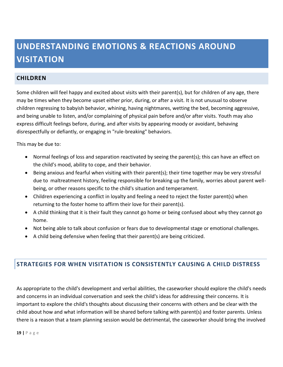# **UNDERSTANDING EMOTIONS & REACTIONS AROUND VISITATION**

#### **CHILDREN**

Some children will feel happy and excited about visits with their parent(s), but for children of any age, there may be times when they become upset either prior, during, or after a visit. It is not unusual to observe children regressing to babyish behavior, whining, having nightmares, wetting the bed, becoming aggressive, and being unable to listen, and/or complaining of physical pain before and/or after visits. Youth may also express difficult feelings before, during, and after visits by appearing moody or avoidant, behaving disrespectfully or defiantly, or engaging in "rule-breaking" behaviors.

This may be due to:

- Normal feelings of loss and separation reactivated by seeing the parent(s); this can have an effect on the child's mood, ability to cope, and their behavior.
- Being anxious and fearful when visiting with their parent(s); their time together may be very stressful due to maltreatment history, feeling responsible for breaking up the family, worries about parent wellbeing, or other reasons specific to the child's situation and temperament.
- Children experiencing a conflict in loyalty and feeling a need to reject the foster parent(s) when returning to the foster home to affirm their love for their parent(s).
- A child thinking that it is their fault they cannot go home or being confused about why they cannot go home.
- Not being able to talk about confusion or fears due to developmental stage or emotional challenges.
- A child being defensive when feeling that their parent(s) are being criticized.

#### **STRATEGIES FOR WHEN VISITATION IS CONSISTENTLY CAUSING A CHILD DISTRESS**

As appropriate to the child's development and verbal abilities, the caseworker should explore the child's needs and concerns in an individual conversation and seek the child's ideas for addressing their concerns. It is important to explore the child's thoughts about discussing their concerns with others and be clear with the child about how and what information will be shared before talking with parent(s) and foster parents. Unless there is a reason that a team planning session would be detrimental, the caseworker should bring the involved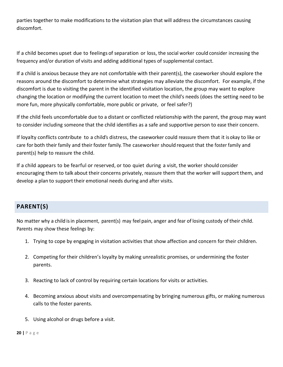parties together to make modifications to the visitation plan that will address the circumstances causing discomfort.

If a child becomes upset due to feelings of separation or loss, the social worker could consider increasing the frequency and/or duration of visits and adding additional types of supplemental contact.

If a child is anxious because they are not comfortable with their parent(s), the caseworker should explore the reasons around the discomfort to determine what strategies may alleviate the discomfort. For example, if the discomfort is due to visiting the parent in the identified visitation location, the group may want to explore changing the location or modifying the current location to meet the child's needs (does the setting need to be more fun, more physically comfortable, more public or private, or feel safer?)

If the child feels uncomfortable due to a distant or conflicted relationship with the parent, the group may want to consider including someone that the child identifies as a safe and supportive person to ease their concern.

If loyalty conflicts contribute to a child's distress, the caseworker could reassure them that it is okay to like or care for both their family and their foster family. The caseworker should request that the foster family and parent(s) help to reassure the child.

If a child appears to be fearful or reserved, or too quiet during a visit, the worker should consider encouraging them to talk about their concerns privately, reassure them that the worker will support them, and develop a plan to support their emotional needs during and after visits.

#### **PARENT(S)**

No matter why a child isin placement, parent(s) may feel pain, anger and fear of losing custody of their child. Parents may show these feelings by:

- 1. Trying to cope by engaging in visitation activities that show affection and concern for their children.
- 2. Competing for their children's loyalty by making unrealistic promises, or undermining the foster parents.
- 3. Reacting to lack of control by requiring certain locations for visits or activities.
- 4. Becoming anxious about visits and overcompensating by bringing numerous gifts, or making numerous calls to the foster parents.
- 5. Using alcohol or drugs before a visit.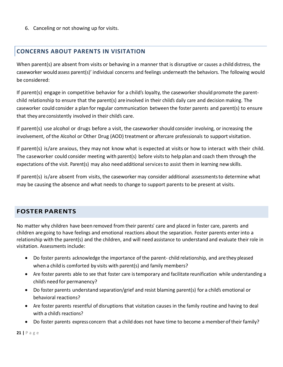6. Canceling or not showing up for visits.

#### **CONCERNS ABOUT PARENTS IN VISITATION**

When parent(s) are absent from visits or behaving in a manner that is disruptive or causes a child distress, the caseworker would assess parent(s)' individual concerns and feelings underneath the behaviors. The following would be considered:

If parent(s) engage in competitive behavior for a child's loyalty, the caseworker should promote the parentchild relationship to ensure that the parent(s) are involved in their child's daily care and decision making. The caseworker could consider a plan forregular communication between the foster parents and parent(s) to ensure that they are consistently involved in their child's care.

If parent(s) use alcohol or drugs before a visit, the caseworker should consider involving, or increasing the involvement, of the Alcohol or Other Drug (AOD) treatment or aftercare professionals to support visitation.

If parent(s) is/are anxious, they may not know what is expected at visits or how to interact with their child. The caseworker could consider meeting with parent(s) before visitsto help plan and coach them through the expectations of the visit. Parent(s) may also need additional services to assist them in learning newskills.

If parent(s) is/are absent from visits, the caseworker may consider additional assessmentsto determine what may be causing the absence and what needs to change to support parents to be present at visits.

#### **FOSTER PARENTS**

No matter why children have been removed from their parents' care and placed in foster care, parents and children are going to have feelings and emotional reactions about the separation. Foster parents enterinto a relationship with the parent(s) and the children, and will need assistance to understand and evaluate their role in visitation. Assessments include:

- Do foster parents acknowledge the importance of the parent- child relationship, and arethey pleased when a child is comforted by visits with parent(s) and family members?
- Are foster parents able to see that foster care istemporary and facilitate reunification while understanding a child's need for permanency?
- Do foster parents understand separation/grief and resist blaming parent(s) for a child's emotional or behavioral reactions?
- Are foster parents resentful of disruptions that visitation causes in the family routine and having to deal with a child's reactions?
- Do foster parents express concern that a child does not have time to become a memberoftheir family?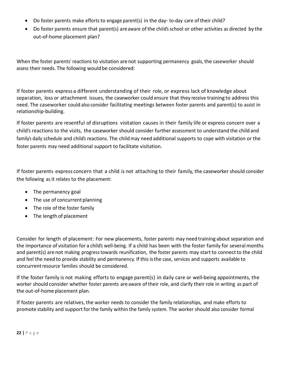- Do foster parents make efforts to engage parent(s) in the day- to-day care of their child?
- Do foster parents ensure that parent(s) are aware of the child's school or other activities as directed by the out-of-home placement plan?

When the foster parents' reactions to visitation are not supporting permanency goals, the caseworker should assess their needs. The following would be considered:

If foster parents express a different understanding of their role, or express lack of knowledge about separation, loss or attachment issues, the caseworker could ensure that they receive training to address this need. The caseworker could also consider facilitating meetings between foster parents and parent(s) to assist in relationship-building.

If foster parents are resentful of disruptions visitation causes in their family life or express concern over a child's reactions to the visits, the caseworker should consider further assessment to understand the child and family's daily schedule and child's reactions. The child may need additional supports to cope with visitation or the foster parents may need additional support to facilitate visitation.

If foster parents express concern that a child is not attaching to their family, the caseworker should consider the following as it relates to the placement:

- The permanency goal
- The use of concurrent planning
- The role of the foster family
- The length of placement

Consider for length of placement: For new placements, foster parents may need training about separation and the importance of visitation for a child's well-being. If a child has been with the foster family for several months and parent(s) are not making progress towards reunification, the foster parents may start to connect to the child and feel the need to provide stability and permanency. If this is the case, services and supports available to concurrent resource families should be considered.

If the foster family is not making efforts to engage parent(s) in daily care or well-being appointments, the worker should consider whether foster parents are aware of their role, and clarify their role in writing as part of the out-of-home placement plan.

If foster parents are relatives, the worker needs to consider the family relationships, and make efforts to promote stability and support forthe family within the family system. The worker should also consider formal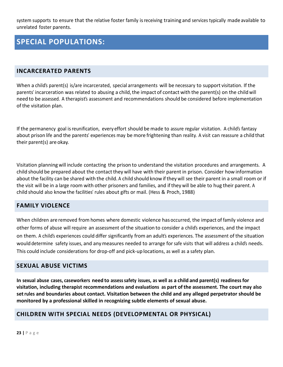system supports to ensure that the relative foster family isreceiving training and services typically made available to unrelated foster parents.

### **SPECIAL POPULATIONS:**

#### **INCARCERATED PARENTS**

When a child's parent(s) is/are incarcerated, special arrangements will be necessary to support visitation. If the parents' incarceration was related to abusing a child, the impact of contact with the parent(s) on the child will need to be assessed. A therapist's assessment and recommendations should be considered before implementation of the visitation plan.

If the permanency goal isreunification, every effort should be made to assure regular visitation. A child's fantasy about prison life and the parents' experiences may be more frightening than reality. A visit can reassure a child that their parent(s) are okay.

Visitation planning will include contacting the prison to understand the visitation procedures and arrangements. A child should be prepared about the contactthey will have with their parent in prison. Consider how information about the facility can be shared with the child. A child should know ifthey will see their parent in a small room or if the visit will be in a large room with other prisoners and families, and ifthey will be able to hug their parent. A child should also know the facilities' rules about gifts or mail. (Hess & Proch, 1988)

#### **FAMILY VIOLENCE**

When children are removed from homes where domestic violence has occurred, the impact of family violence and other forms of abuse will require an assessment of the situation to consider a child's experiences, and the impact on them. A child's experiences could differ significantly from an adult's experiences. The assessment of the situation would determine safety issues, and anymeasures needed to arrange forsafe visits that will address a child's needs. This could include considerations for drop-off and pick-up locations, as well as a safety plan.

#### **SEXUAL ABUSE VICTIMS**

In sexual abuse cases, caseworkers need to assess safety issues, as well as a child and parent(s) readiness for **visitation, including therapist recommendations and evaluations as part of the assessment. The court may also setrules and boundaries about contact. Visitation between the child and any alleged perpetrator should be monitored by a professional skilled in recognizing subtle elements of sexual abuse.**

#### **CHILDREN WITH SPECIAL NEEDS (DEVELOPMENTAL OR PHYSICAL)**